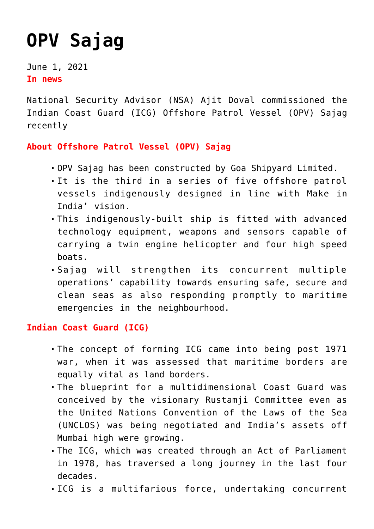## **[OPV Sajag](https://journalsofindia.com/opv-sajag/)**

June 1, 2021 **In news**

National Security Advisor (NSA) Ajit Doval commissioned the Indian Coast Guard (ICG) Offshore Patrol Vessel (OPV) Sajag recently

## **About Offshore Patrol Vessel (OPV) Sajag**

- OPV Sajag has been constructed by Goa Shipyard Limited.
- It is the third in a series of five offshore patrol vessels indigenously designed in line with Make in India' vision.
- This indigenously-built ship is fitted with advanced technology equipment, weapons and sensors capable of carrying a twin engine helicopter and four high speed boats.
- Sajag will strengthen its concurrent multiple operations' capability towards ensuring safe, secure and clean seas as also responding promptly to maritime emergencies in the neighbourhood.

## **Indian Coast Guard (ICG)**

- The concept of forming ICG came into being post 1971 war, when it was assessed that maritime borders are equally vital as land borders.
- The blueprint for a multidimensional Coast Guard was conceived by the visionary Rustamji Committee even as the United Nations Convention of the Laws of the Sea (UNCLOS) was being negotiated and India's assets off Mumbai high were growing.
- The ICG, which was created through an Act of Parliament in 1978, has traversed a long journey in the last four decades.
- ICG is a multifarious force, undertaking concurrent